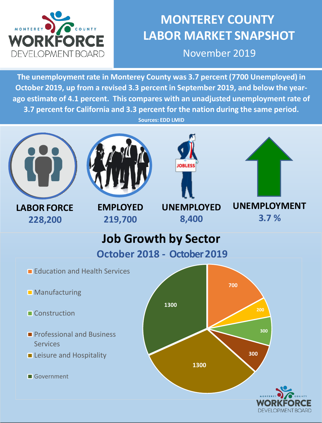

# **MONTEREY COUNTY LABOR MARKET SNAPSHOT**

November 2019

**The unemployment rate in Monterey County was 3.7 percent (7700 Unemployed) in October 2019, up from a revised 3.3 percent in September 2019, and below the yearago estimate of 4.1 percent. This compares with an unadjusted unemployment rate of 3.7 percent for California and 3.3 percent for the nation during the same period.** 

**Sources: EDD LMID**



**LABOR FORCE 228,200**

**EMPLOYED 219,700**



**UNEMPLOYED**

**8,400**



**UNEMPLOYMENT 3.7 %**



- **Professional and Business** Services
- **Leisure and Hospitality**

Government